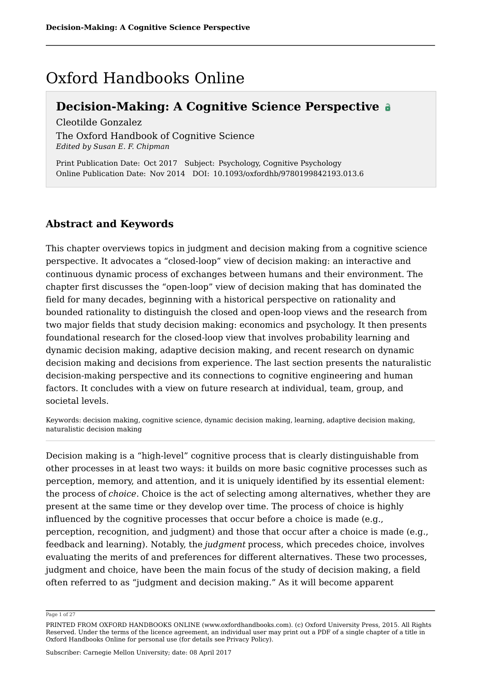## Oxford Handbooks Online

### **Decision-Making: A Cognitive Science Perspective**

Cleotilde Gonzalez

The Oxford Handbook of Cognitive Science *Edited by Susan E. F. Chipman*

Print Publication Date: Oct 2017 Subject: Psychology, Cognitive Psychology Online Publication Date: Nov 2014 DOI: 10.1093/oxfordhb/9780199842193.013.6

#### **Abstract and Keywords**

This chapter overviews topics in judgment and decision making from a cognitive science perspective. It advocates a "closed-loop" view of decision making: an interactive and continuous dynamic process of exchanges between humans and their environment. The chapter first discusses the "open-loop" view of decision making that has dominated the field for many decades, beginning with a historical perspective on rationality and bounded rationality to distinguish the closed and open-loop views and the research from two major fields that study decision making: economics and psychology. It then presents foundational research for the closed-loop view that involves probability learning and dynamic decision making, adaptive decision making, and recent research on dynamic decision making and decisions from experience. The last section presents the naturalistic decision-making perspective and its connections to cognitive engineering and human factors. It concludes with a view on future research at individual, team, group, and societal levels.

Keywords: decision making, cognitive science, dynamic decision making, learning, adaptive decision making, naturalistic decision making

Decision making is a "high-level" cognitive process that is clearly distinguishable from other processes in at least two ways: it builds on more basic cognitive processes such as perception, memory, and attention, and it is uniquely identified by its essential element: the process of *choice*. Choice is the act of selecting among alternatives, whether they are present at the same time or they develop over time. The process of choice is highly influenced by the cognitive processes that occur before a choice is made (e.g., perception, recognition, and judgment) and those that occur after a choice is made (e.g., feedback and learning). Notably, the *judgment* process, which precedes choice, involves evaluating the merits of and preferences for different alternatives. These two processes, judgment and choice, have been the main focus of the study of decision making, a field often referred to as "judgment and decision making." As it will become apparent

Page 1 of 27

PRINTED FROM OXFORD HANDBOOKS ONLINE (www.oxfordhandbooks.com). (c) Oxford University Press, 2015. All Rights Reserved. Under the terms of the licence agreement, an individual user may print out a PDF of a single chapter of a title in Oxford Handbooks Online for personal use (for details see Privacy Policy).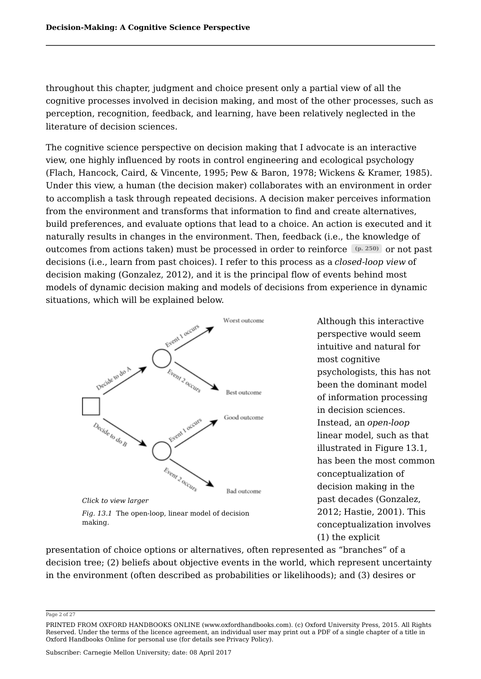throughout this chapter, judgment and choice present only a partial view of all the cognitive processes involved in decision making, and most of the other processes, such as perception, recognition, feedback, and learning, have been relatively neglected in the literature of decision sciences.

The cognitive science perspective on decision making that I advocate is an interactive view, one highly influenced by roots in control engineering and ecological psychology (Flach, Hancock, Caird, & Vincente, 1995; Pew & Baron, 1978; Wickens & Kramer, 1985). Under this view, a human (the decision maker) collaborates with an environment in order to accomplish a task through repeated decisions. A decision maker perceives information from the environment and transforms that information to find and create alternatives, build preferences, and evaluate options that lead to a choice. An action is executed and it naturally results in changes in the environment. Then, feedback (i.e., the knowledge of outcomes from actions taken) must be processed in order to reinforce (p. 250)or not past decisions (i.e., learn from past choices). I refer to this process as a *closed-loop view* of decision making (Gonzalez, 2012), and it is the principal flow of events behind most models of dynamic decision making and models of decisions from experience in dynamic situations, which will be explained below.



Although this interactive perspective would seem intuitive and natural for most cognitive psychologists, this has not been the dominant model of information processing in decision sciences. Instead, an *open-loop* linear model, such as that illustrated in Figure 13.1, has been the most common conceptualization of decision making in the past decades (Gonzalez, 2012; Hastie, 2001). This conceptualization involves (1) the explicit

presentation of choice options or alternatives, often represented as "branches" of a decision tree; (2) beliefs about objective events in the world, which represent uncertainty in the environment (often described as probabilities or likelihoods); and (3) desires or

Page 2 of 27

PRINTED FROM OXFORD HANDBOOKS ONLINE (www.oxfordhandbooks.com). (c) Oxford University Press, 2015. All Rights Reserved. Under the terms of the licence agreement, an individual user may print out a PDF of a single chapter of a title in Oxford Handbooks Online for personal use (for details see Privacy Policy).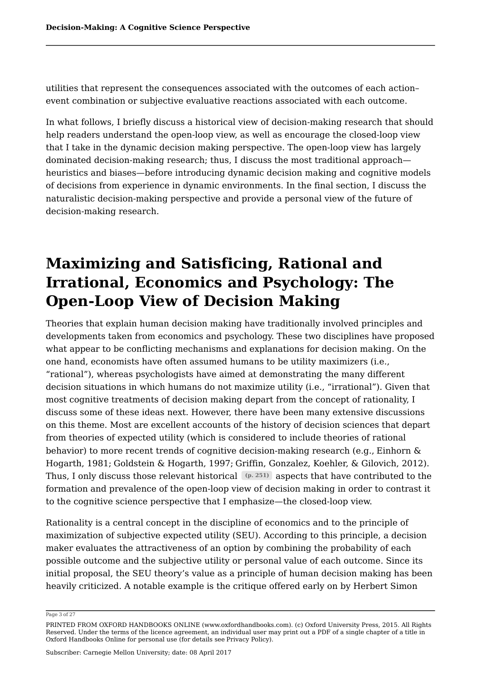utilities that represent the consequences associated with the outcomes of each action– event combination or subjective evaluative reactions associated with each outcome.

In what follows, I briefly discuss a historical view of decision-making research that should help readers understand the open-loop view, as well as encourage the closed-loop view that I take in the dynamic decision making perspective. The open-loop view has largely dominated decision-making research; thus, I discuss the most traditional approach heuristics and biases—before introducing dynamic decision making and cognitive models of decisions from experience in dynamic environments. In the final section, I discuss the naturalistic decision-making perspective and provide a personal view of the future of decision-making research.

# **Maximizing and Satisficing, Rational and Irrational, Economics and Psychology: The Open-Loop View of Decision Making**

Theories that explain human decision making have traditionally involved principles and developments taken from economics and psychology. These two disciplines have proposed what appear to be conflicting mechanisms and explanations for decision making. On the one hand, economists have often assumed humans to be utility maximizers (i.e., "rational"), whereas psychologists have aimed at demonstrating the many different decision situations in which humans do not maximize utility (i.e., "irrational"). Given that most cognitive treatments of decision making depart from the concept of rationality, I discuss some of these ideas next. However, there have been many extensive discussions on this theme. Most are excellent accounts of the history of decision sciences that depart from theories of expected utility (which is considered to include theories of rational behavior) to more recent trends of cognitive decision-making research (e.g., Einhorn & Hogarth, 1981; Goldstein & Hogarth, 1997; Griffin, Gonzalez, Koehler, & Gilovich, 2012). Thus, I only discuss those relevant historical (p. 251) aspects that have contributed to the formation and prevalence of the open-loop view of decision making in order to contrast it to the cognitive science perspective that I emphasize—the closed-loop view.

Rationality is a central concept in the discipline of economics and to the principle of maximization of subjective expected utility (SEU). According to this principle, a decision maker evaluates the attractiveness of an option by combining the probability of each possible outcome and the subjective utility or personal value of each outcome. Since its initial proposal, the SEU theory's value as a principle of human decision making has been heavily criticized. A notable example is the critique offered early on by Herbert Simon

Page 3 of 27

PRINTED FROM OXFORD HANDBOOKS ONLINE (www.oxfordhandbooks.com). (c) Oxford University Press, 2015. All Rights Reserved. Under the terms of the licence agreement, an individual user may print out a PDF of a single chapter of a title in Oxford Handbooks Online for personal use (for details see Privacy Policy).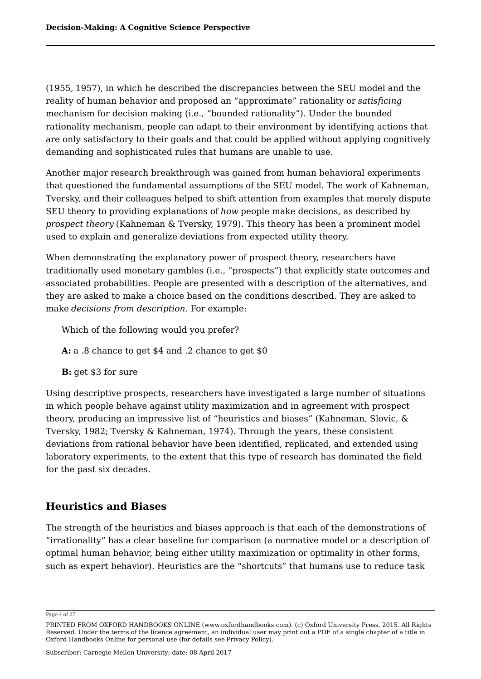(1955, 1957), in which he described the discrepancies between the SEU model and the reality of human behavior and proposed an "approximate" rationality or *satisficing* mechanism for decision making (i.e., "bounded rationality"). Under the bounded rationality mechanism, people can adapt to their environment by identifying actions that are only satisfactory to their goals and that could be applied without applying cognitively demanding and sophisticated rules that humans are unable to use.

Another major research breakthrough was gained from human behavioral experiments that questioned the fundamental assumptions of the SEU model. The work of Kahneman, Tversky, and their colleagues helped to shift attention from examples that merely dispute SEU theory to providing explanations of *how* people make decisions, as described by *prospect theory* (Kahneman & Tversky, 1979). This theory has been a prominent model used to explain and generalize deviations from expected utility theory.

When demonstrating the explanatory power of prospect theory, researchers have traditionally used monetary gambles (i.e., "prospects") that explicitly state outcomes and associated probabilities. People are presented with a description of the alternatives, and they are asked to make a choice based on the conditions described. They are asked to make *decisions from description*. For example:

Which of the following would you prefer?

**A:** a .8 chance to get \$4 and .2 chance to get \$0

**B:** get \$3 for sure

Using descriptive prospects, researchers have investigated a large number of situations in which people behave against utility maximization and in agreement with prospect theory, producing an impressive list of "heuristics and biases" (Kahneman, Slovic, & Tversky, 1982; Tversky & Kahneman, 1974). Through the years, these consistent deviations from rational behavior have been identified, replicated, and extended using laboratory experiments, to the extent that this type of research has dominated the field for the past six decades.

### **Heuristics and Biases**

The strength of the heuristics and biases approach is that each of the demonstrations of "irrationality" has a clear baseline for comparison (a normative model or a description of optimal human behavior, being either utility maximization or optimality in other forms, such as expert behavior). Heuristics are the "shortcuts" that humans use to reduce task

Page 4 of 27

PRINTED FROM OXFORD HANDBOOKS ONLINE (www.oxfordhandbooks.com). (c) Oxford University Press, 2015. All Rights Reserved. Under the terms of the licence agreement, an individual user may print out a PDF of a single chapter of a title in Oxford Handbooks Online for personal use (for details see Privacy Policy).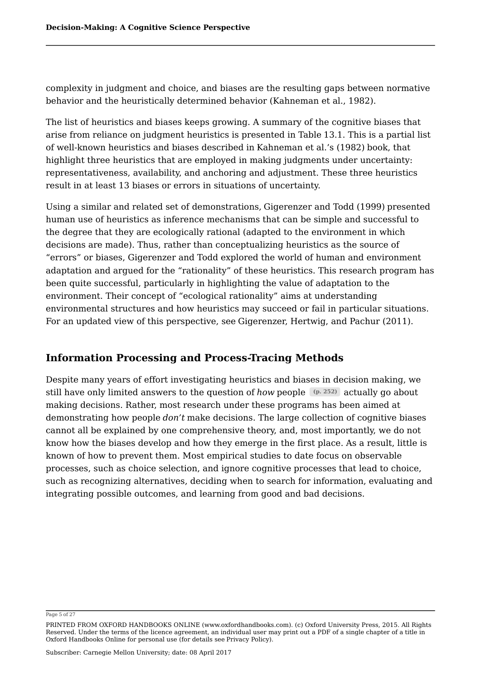complexity in judgment and choice, and biases are the resulting gaps between normative behavior and the heuristically determined behavior (Kahneman et al., 1982).

The list of heuristics and biases keeps growing. A summary of the cognitive biases that arise from reliance on judgment heuristics is presented in Table 13.1. This is a partial list of well-known heuristics and biases described in Kahneman et al.'s (1982) book, that highlight three heuristics that are employed in making judgments under uncertainty: representativeness, availability, and anchoring and adjustment. These three heuristics result in at least 13 biases or errors in situations of uncertainty.

Using a similar and related set of demonstrations, Gigerenzer and Todd (1999) presented human use of heuristics as inference mechanisms that can be simple and successful to the degree that they are ecologically rational (adapted to the environment in which decisions are made). Thus, rather than conceptualizing heuristics as the source of "errors" or biases, Gigerenzer and Todd explored the world of human and environment adaptation and argued for the "rationality" of these heuristics. This research program has been quite successful, particularly in highlighting the value of adaptation to the environment. Their concept of "ecological rationality" aims at understanding environmental structures and how heuristics may succeed or fail in particular situations. For an updated view of this perspective, see Gigerenzer, Hertwig, and Pachur (2011).

### **Information Processing and Process-Tracing Methods**

Despite many years of effort investigating heuristics and biases in decision making, we still have only limited answers to the question of *how* people  $\left($  (p. 252)  $\right)$  actually go about making decisions. Rather, most research under these programs has been aimed at demonstrating how people *don't* make decisions. The large collection of cognitive biases cannot all be explained by one comprehensive theory, and, most importantly, we do not know how the biases develop and how they emerge in the first place. As a result, little is known of how to prevent them. Most empirical studies to date focus on observable processes, such as choice selection, and ignore cognitive processes that lead to choice, such as recognizing alternatives, deciding when to search for information, evaluating and integrating possible outcomes, and learning from good and bad decisions.

Page 5 of 27

PRINTED FROM OXFORD HANDBOOKS ONLINE (www.oxfordhandbooks.com). (c) Oxford University Press, 2015. All Rights Reserved. Under the terms of the licence agreement, an individual user may print out a PDF of a single chapter of a title in Oxford Handbooks Online for personal use (for details see Privacy Policy).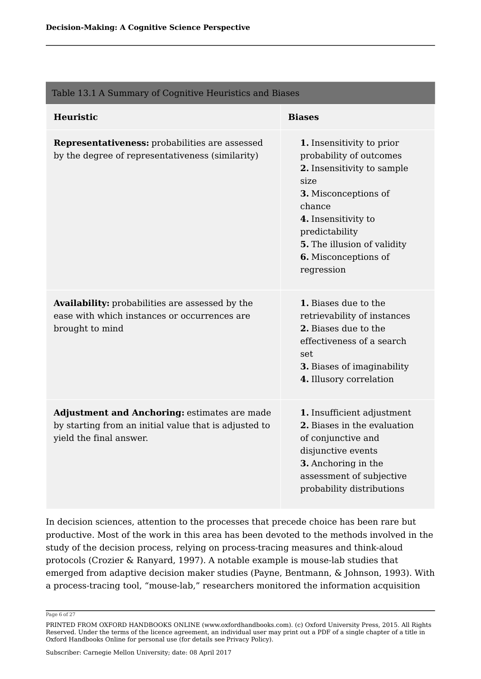| Table 13.1 A Summary of Cognitive Heuristics and Biases                                                                          |                                                                                                                                                                                                                                            |
|----------------------------------------------------------------------------------------------------------------------------------|--------------------------------------------------------------------------------------------------------------------------------------------------------------------------------------------------------------------------------------------|
| Heuristic                                                                                                                        | <b>Biases</b>                                                                                                                                                                                                                              |
| Representativeness: probabilities are assessed<br>by the degree of representativeness (similarity)                               | 1. Insensitivity to prior<br>probability of outcomes<br>2. Insensitivity to sample<br>size<br>3. Misconceptions of<br>chance<br>4. Insensitivity to<br>predictability<br>5. The illusion of validity<br>6. Misconceptions of<br>regression |
| Availability: probabilities are assessed by the<br>ease with which instances or occurrences are<br>brought to mind               | 1. Biases due to the<br>retrievability of instances<br>2. Biases due to the<br>effectiveness of a search<br>set<br>3. Biases of imaginability<br>4. Illusory correlation                                                                   |
| Adjustment and Anchoring: estimates are made<br>by starting from an initial value that is adjusted to<br>yield the final answer. | 1. Insufficient adjustment<br>2. Biases in the evaluation<br>of conjunctive and<br>disjunctive events<br>3. Anchoring in the<br>assessment of subjective<br>probability distributions                                                      |

In decision sciences, attention to the processes that precede choice has been rare but productive. Most of the work in this area has been devoted to the methods involved in the study of the decision process, relying on process-tracing measures and think-aloud protocols (Crozier & Ranyard, 1997). A notable example is mouse-lab studies that emerged from adaptive decision maker studies (Payne, Bentmann, & Johnson, 1993). With a process-tracing tool, "mouse-lab," researchers monitored the information acquisition

Page 6 of 27

PRINTED FROM OXFORD HANDBOOKS ONLINE (www.oxfordhandbooks.com). (c) Oxford University Press, 2015. All Rights Reserved. Under the terms of the licence agreement, an individual user may print out a PDF of a single chapter of a title in Oxford Handbooks Online for personal use (for details see Privacy Policy).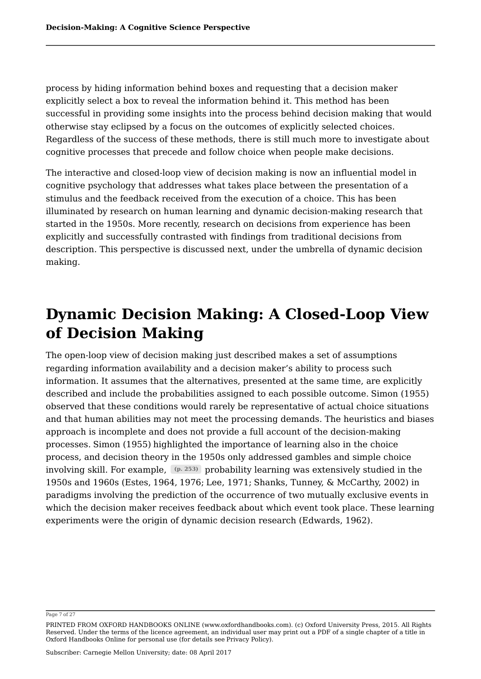process by hiding information behind boxes and requesting that a decision maker explicitly select a box to reveal the information behind it. This method has been successful in providing some insights into the process behind decision making that would otherwise stay eclipsed by a focus on the outcomes of explicitly selected choices. Regardless of the success of these methods, there is still much more to investigate about cognitive processes that precede and follow choice when people make decisions.

The interactive and closed-loop view of decision making is now an influential model in cognitive psychology that addresses what takes place between the presentation of a stimulus and the feedback received from the execution of a choice. This has been illuminated by research on human learning and dynamic decision-making research that started in the 1950s. More recently, research on decisions from experience has been explicitly and successfully contrasted with findings from traditional decisions from description. This perspective is discussed next, under the umbrella of dynamic decision making.

# **Dynamic Decision Making: A Closed-Loop View of Decision Making**

The open-loop view of decision making just described makes a set of assumptions regarding information availability and a decision maker's ability to process such information. It assumes that the alternatives, presented at the same time, are explicitly described and include the probabilities assigned to each possible outcome. Simon (1955) observed that these conditions would rarely be representative of actual choice situations and that human abilities may not meet the processing demands. The heuristics and biases approach is incomplete and does not provide a full account of the decision-making processes. Simon (1955) highlighted the importance of learning also in the choice process, and decision theory in the 1950s only addressed gambles and simple choice involving skill. For example, <u>[@. 253)</u> probability learning was extensively studied in the 1950s and 1960s (Estes, 1964, 1976; Lee, 1971; Shanks, Tunney, & McCarthy, 2002) in paradigms involving the prediction of the occurrence of two mutually exclusive events in which the decision maker receives feedback about which event took place. These learning experiments were the origin of dynamic decision research (Edwards, 1962).

Page 7 of 27

PRINTED FROM OXFORD HANDBOOKS ONLINE (www.oxfordhandbooks.com). (c) Oxford University Press, 2015. All Rights Reserved. Under the terms of the licence agreement, an individual user may print out a PDF of a single chapter of a title in Oxford Handbooks Online for personal use (for details see Privacy Policy).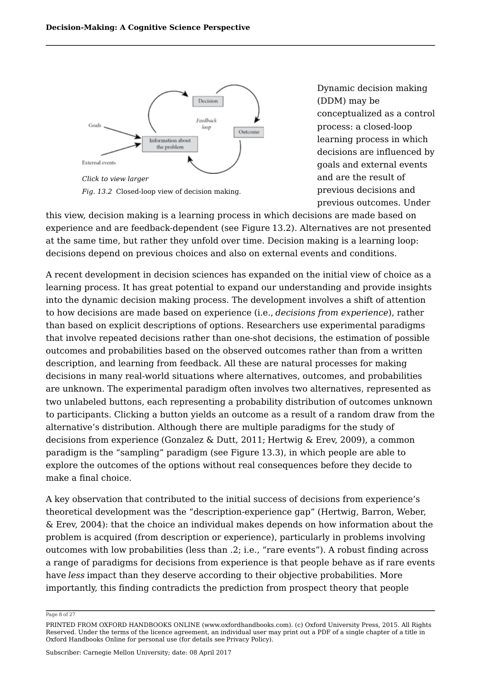

Dynamic decision making (DDM) may be conceptualized as a control process: a closed-loop learning process in which decisions are influenced by goals and external events and are the result of previous decisions and previous outcomes. Under

this view, decision making is a learning process in which decisions are made based on experience and are feedback-dependent (see Figure 13.2). Alternatives are not presented at the same time, but rather they unfold over time. Decision making is a learning loop: decisions depend on previous choices and also on external events and conditions.

A recent development in decision sciences has expanded on the initial view of choice as a learning process. It has great potential to expand our understanding and provide insights into the dynamic decision making process. The development involves a shift of attention to how decisions are made based on experience (i.e., *decisions from experience*), rather than based on explicit descriptions of options. Researchers use experimental paradigms that involve repeated decisions rather than one-shot decisions, the estimation of possible outcomes and probabilities based on the observed outcomes rather than from a written description, and learning from feedback. All these are natural processes for making decisions in many real-world situations where alternatives, outcomes, and probabilities are unknown. The experimental paradigm often involves two alternatives, represented as two unlabeled buttons, each representing a probability distribution of outcomes unknown to participants. Clicking a button yields an outcome as a result of a random draw from the alternative's distribution. Although there are multiple paradigms for the study of decisions from experience (Gonzalez & Dutt, 2011; Hertwig & Erev, 2009), a common paradigm is the "sampling" paradigm (see Figure 13.3), in which people are able to explore the outcomes of the options without real consequences before they decide to make a final choice.

A key observation that contributed to the initial success of decisions from experience's theoretical development was the "description-experience gap" (Hertwig, Barron, Weber, & Erev, 2004): that the choice an individual makes depends on how information about the problem is acquired (from description or experience), particularly in problems involving outcomes with low probabilities (less than .2; i.e., "rare events"). A robust finding across a range of paradigms for decisions from experience is that people behave as if rare events have *less* impact than they deserve according to their objective probabilities. More importantly, this finding contradicts the prediction from prospect theory that people

#### Page 8 of 27

PRINTED FROM OXFORD HANDBOOKS ONLINE (www.oxfordhandbooks.com). (c) Oxford University Press, 2015. All Rights Reserved. Under the terms of the licence agreement, an individual user may print out a PDF of a single chapter of a title in Oxford Handbooks Online for personal use (for details see Privacy Policy).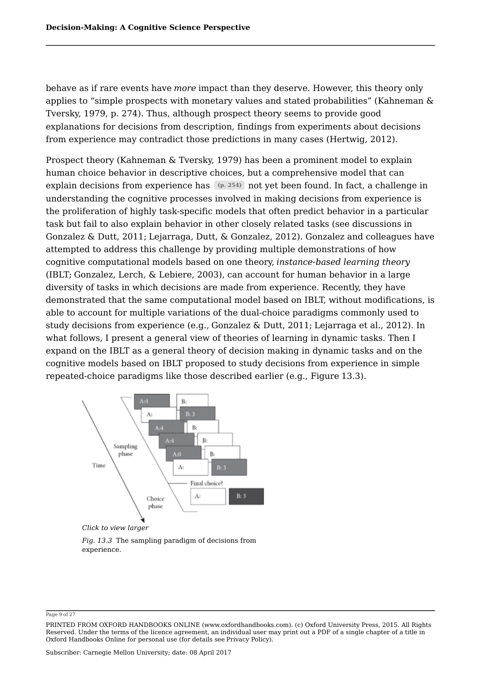behave as if rare events have *more* impact than they deserve. However, this theory only applies to "simple prospects with monetary values and stated probabilities" (Kahneman & Tversky, 1979, p. 274). Thus, although prospect theory seems to provide good explanations for decisions from description, findings from experiments about decisions from experience may contradict those predictions in many cases (Hertwig, 2012).

Prospect theory (Kahneman & Tversky, 1979) has been a prominent model to explain human choice behavior in descriptive choices, but a comprehensive model that can explain decisions from experience has (p. 254)not yet been found. In fact, a challenge in understanding the cognitive processes involved in making decisions from experience is the proliferation of highly task-specific models that often predict behavior in a particular task but fail to also explain behavior in other closely related tasks (see discussions in Gonzalez & Dutt, 2011; Lejarraga, Dutt, & Gonzalez, 2012). Gonzalez and colleagues have attempted to address this challenge by providing multiple demonstrations of how cognitive computational models based on one theory, *instance-based learning theory* (IBLT; Gonzalez, Lerch, & Lebiere, 2003), can account for human behavior in a large diversity of tasks in which decisions are made from experience. Recently, they have demonstrated that the same computational model based on IBLT, without modifications, is able to account for multiple variations of the dual-choice paradigms commonly used to study decisions from experience (e.g., Gonzalez & Dutt, 2011; Lejarraga et al., 2012). In what follows, I present a general view of theories of learning in dynamic tasks. Then I expand on the IBLT as a general theory of decision making in dynamic tasks and on the cognitive models based on IBLT proposed to study decisions from experience in simple repeated-choice paradigms like those described earlier (e.g., Figure 13.3).



*Click to view larger*

*Fig. 13.3* The sampling paradigm of decisions from experience.

Page 9 of 27

PRINTED FROM OXFORD HANDBOOKS ONLINE (www.oxfordhandbooks.com). (c) Oxford University Press, 2015. All Rights Reserved. Under the terms of the licence agreement, an individual user may print out a PDF of a single chapter of a title in Oxford Handbooks Online for personal use (for details see Privacy Policy).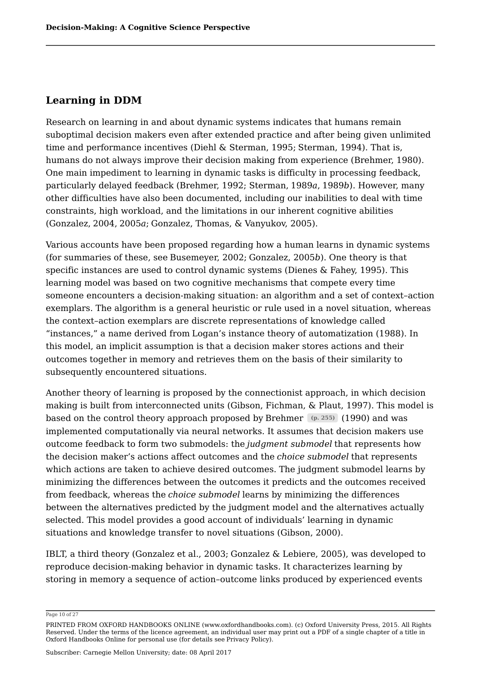### **Learning in DDM**

Research on learning in and about dynamic systems indicates that humans remain suboptimal decision makers even after extended practice and after being given unlimited time and performance incentives (Diehl & Sterman, 1995; Sterman, 1994). That is, humans do not always improve their decision making from experience (Brehmer, 1980). One main impediment to learning in dynamic tasks is difficulty in processing feedback, particularly delayed feedback (Brehmer, 1992; Sterman, 1989*a*, 1989*b*). However, many other difficulties have also been documented, including our inabilities to deal with time constraints, high workload, and the limitations in our inherent cognitive abilities (Gonzalez, 2004, 2005*a*; Gonzalez, Thomas, & Vanyukov, 2005).

Various accounts have been proposed regarding how a human learns in dynamic systems (for summaries of these, see Busemeyer, 2002; Gonzalez, 2005*b*). One theory is that specific instances are used to control dynamic systems (Dienes & Fahey, 1995). This learning model was based on two cognitive mechanisms that compete every time someone encounters a decision-making situation: an algorithm and a set of context–action exemplars. The algorithm is a general heuristic or rule used in a novel situation, whereas the context–action exemplars are discrete representations of knowledge called "instances," a name derived from Logan's instance theory of automatization (1988). In this model, an implicit assumption is that a decision maker stores actions and their outcomes together in memory and retrieves them on the basis of their similarity to subsequently encountered situations.

Another theory of learning is proposed by the connectionist approach, in which decision making is built from interconnected units (Gibson, Fichman, & Plaut, 1997). This model is based on the control theory approach proposed by Brehmer (p. 255)  $(1990)$  and was implemented computationally via neural networks. It assumes that decision makers use outcome feedback to form two submodels: the *judgment submodel* that represents how the decision maker's actions affect outcomes and the *choice submodel* that represents which actions are taken to achieve desired outcomes. The judgment submodel learns by minimizing the differences between the outcomes it predicts and the outcomes received from feedback, whereas the *choice submodel*learns by minimizing the differences between the alternatives predicted by the judgment model and the alternatives actually selected. This model provides a good account of individuals' learning in dynamic situations and knowledge transfer to novel situations (Gibson, 2000).

IBLT, a third theory (Gonzalez et al., 2003; Gonzalez & Lebiere, 2005), was developed to reproduce decision-making behavior in dynamic tasks. It characterizes learning by storing in memory a sequence of action–outcome links produced by experienced events

Page 10 of 27

PRINTED FROM OXFORD HANDBOOKS ONLINE (www.oxfordhandbooks.com). (c) Oxford University Press, 2015. All Rights Reserved. Under the terms of the licence agreement, an individual user may print out a PDF of a single chapter of a title in Oxford Handbooks Online for personal use (for details see Privacy Policy).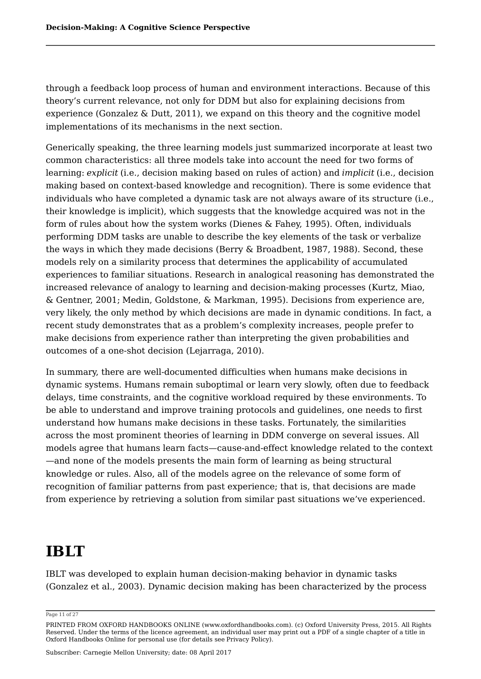through a feedback loop process of human and environment interactions. Because of this theory's current relevance, not only for DDM but also for explaining decisions from experience (Gonzalez & Dutt, 2011), we expand on this theory and the cognitive model implementations of its mechanisms in the next section.

Generically speaking, the three learning models just summarized incorporate at least two common characteristics: all three models take into account the need for two forms of learning: *explicit* (i.e., decision making based on rules of action) and *implicit* (i.e., decision making based on context-based knowledge and recognition). There is some evidence that individuals who have completed a dynamic task are not always aware of its structure (i.e., their knowledge is implicit), which suggests that the knowledge acquired was not in the form of rules about how the system works (Dienes & Fahey, 1995). Often, individuals performing DDM tasks are unable to describe the key elements of the task or verbalize the ways in which they made decisions (Berry & Broadbent, 1987, 1988). Second, these models rely on a similarity process that determines the applicability of accumulated experiences to familiar situations. Research in analogical reasoning has demonstrated the increased relevance of analogy to learning and decision-making processes (Kurtz, Miao, & Gentner, 2001; Medin, Goldstone, & Markman, 1995). Decisions from experience are, very likely, the only method by which decisions are made in dynamic conditions. In fact, a recent study demonstrates that as a problem's complexity increases, people prefer to make decisions from experience rather than interpreting the given probabilities and outcomes of a one-shot decision (Lejarraga, 2010).

In summary, there are well-documented difficulties when humans make decisions in dynamic systems. Humans remain suboptimal or learn very slowly, often due to feedback delays, time constraints, and the cognitive workload required by these environments. To be able to understand and improve training protocols and guidelines, one needs to first understand how humans make decisions in these tasks. Fortunately, the similarities across the most prominent theories of learning in DDM converge on several issues. All models agree that humans learn facts—cause-and-effect knowledge related to the context —and none of the models presents the main form of learning as being structural knowledge or rules. Also, all of the models agree on the relevance of some form of recognition of familiar patterns from past experience; that is, that decisions are made from experience by retrieving a solution from similar past situations we've experienced.

# **IBLT**

IBLT was developed to explain human decision-making behavior in dynamic tasks (Gonzalez et al., 2003). Dynamic decision making has been characterized by the process

#### Page 11 of 27

PRINTED FROM OXFORD HANDBOOKS ONLINE (www.oxfordhandbooks.com). (c) Oxford University Press, 2015. All Rights Reserved. Under the terms of the licence agreement, an individual user may print out a PDF of a single chapter of a title in Oxford Handbooks Online for personal use (for details see Privacy Policy).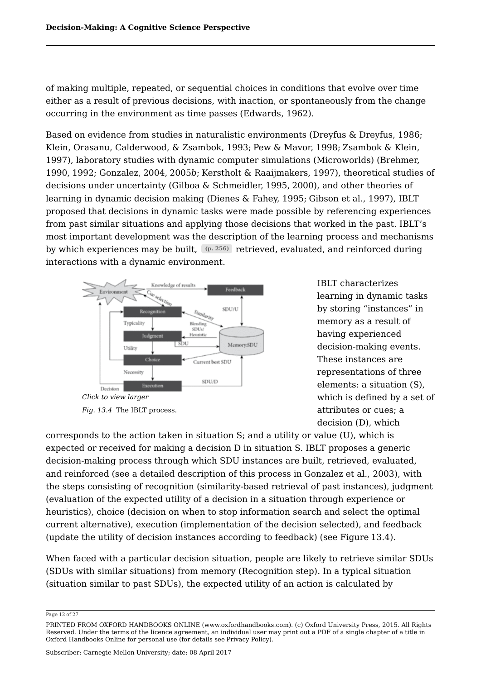of making multiple, repeated, or sequential choices in conditions that evolve over time either as a result of previous decisions, with inaction, or spontaneously from the change occurring in the environment as time passes (Edwards, 1962).

Based on evidence from studies in naturalistic environments (Dreyfus & Dreyfus, 1986; Klein, Orasanu, Calderwood, & Zsambok, 1993; Pew & Mavor, 1998; Zsambok & Klein, 1997), laboratory studies with dynamic computer simulations (Microworlds) (Brehmer, 1990, 1992; Gonzalez, 2004, 2005*b*; Kerstholt & Raaijmakers, 1997), theoretical studies of decisions under uncertainty (Gilboa & Schmeidler, 1995, 2000), and other theories of learning in dynamic decision making (Dienes & Fahey, 1995; Gibson et al., 1997), IBLT proposed that decisions in dynamic tasks were made possible by referencing experiences from past similar situations and applying those decisions that worked in the past. IBLT's most important development was the description of the learning process and mechanisms by which experiences may be built, (p. 256) retrieved, evaluated, and reinforced during interactions with a dynamic environment.



*Fig. 13.4* The IBLT process.

IBLT characterizes learning in dynamic tasks by storing "instances" in memory as a result of having experienced decision-making events. These instances are representations of three elements: a situation (S), which is defined by a set of attributes or cues; a decision (D), which

corresponds to the action taken in situation S; and a utility or value (U), which is expected or received for making a decision D in situation S. IBLT proposes a generic decision-making process through which SDU instances are built, retrieved, evaluated, and reinforced (see a detailed description of this process in Gonzalez et al., 2003), with the steps consisting of recognition (similarity-based retrieval of past instances), judgment (evaluation of the expected utility of a decision in a situation through experience or heuristics), choice (decision on when to stop information search and select the optimal current alternative), execution (implementation of the decision selected), and feedback (update the utility of decision instances according to feedback) (see Figure 13.4).

When faced with a particular decision situation, people are likely to retrieve similar SDUs (SDUs with similar situations) from memory (Recognition step). In a typical situation (situation similar to past SDUs), the expected utility of an action is calculated by

Page 12 of 27

PRINTED FROM OXFORD HANDBOOKS ONLINE (www.oxfordhandbooks.com). (c) Oxford University Press, 2015. All Rights Reserved. Under the terms of the licence agreement, an individual user may print out a PDF of a single chapter of a title in Oxford Handbooks Online for personal use (for details see Privacy Policy).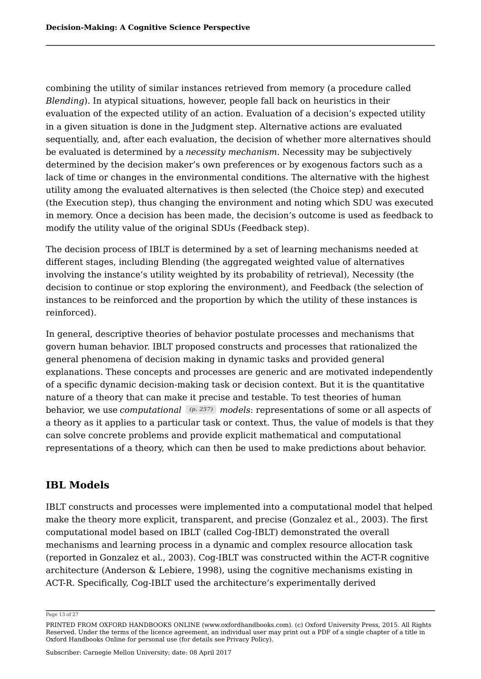combining the utility of similar instances retrieved from memory (a procedure called *Blending*). In atypical situations, however, people fall back on heuristics in their evaluation of the expected utility of an action. Evaluation of a decision's expected utility in a given situation is done in the Judgment step. Alternative actions are evaluated sequentially, and, after each evaluation, the decision of whether more alternatives should be evaluated is determined by a *necessity mechanism*. Necessity may be subjectively determined by the decision maker's own preferences or by exogenous factors such as a lack of time or changes in the environmental conditions. The alternative with the highest utility among the evaluated alternatives is then selected (the Choice step) and executed (the Execution step), thus changing the environment and noting which SDU was executed in memory. Once a decision has been made, the decision's outcome is used as feedback to modify the utility value of the original SDUs (Feedback step).

The decision process of IBLT is determined by a set of learning mechanisms needed at different stages, including Blending (the aggregated weighted value of alternatives involving the instance's utility weighted by its probability of retrieval), Necessity (the decision to continue or stop exploring the environment), and Feedback (the selection of instances to be reinforced and the proportion by which the utility of these instances is reinforced).

In general, descriptive theories of behavior postulate processes and mechanisms that govern human behavior. IBLT proposed constructs and processes that rationalized the general phenomena of decision making in dynamic tasks and provided general explanations. These concepts and processes are generic and are motivated independently of a specific dynamic decision-making task or decision context. But it is the quantitative nature of a theory that can make it precise and testable. To test theories of human behavior, we use *computational (p. 257) models*: representations of some or all aspects of a theory as it applies to a particular task or context. Thus, the value of models is that they can solve concrete problems and provide explicit mathematical and computational representations of a theory, which can then be used to make predictions about behavior.

### **IBL Models**

IBLT constructs and processes were implemented into a computational model that helped make the theory more explicit, transparent, and precise (Gonzalez et al., 2003). The first computational model based on IBLT (called Cog-IBLT) demonstrated the overall mechanisms and learning process in a dynamic and complex resource allocation task (reported in Gonzalez et al., 2003). Cog-IBLT was constructed within the ACT-R cognitive architecture (Anderson & Lebiere, 1998), using the cognitive mechanisms existing in ACT-R. Specifically, Cog-IBLT used the architecture's experimentally derived

Page 13 of 27

PRINTED FROM OXFORD HANDBOOKS ONLINE (www.oxfordhandbooks.com). (c) Oxford University Press, 2015. All Rights Reserved. Under the terms of the licence agreement, an individual user may print out a PDF of a single chapter of a title in Oxford Handbooks Online for personal use (for details see Privacy Policy).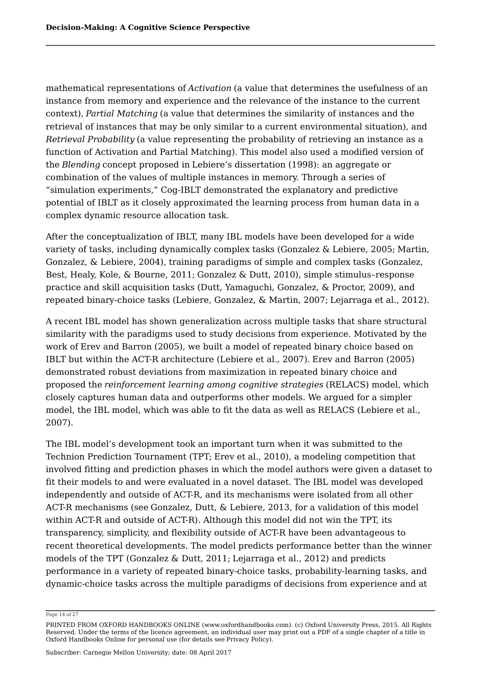mathematical representations of *Activation* (a value that determines the usefulness of an instance from memory and experience and the relevance of the instance to the current context), *Partial Matching* (a value that determines the similarity of instances and the retrieval of instances that may be only similar to a current environmental situation), and *Retrieval Probability* (a value representing the probability of retrieving an instance as a function of Activation and Partial Matching). This model also used a modified version of the *Blending* concept proposed in Lebiere's dissertation (1998): an aggregate or combination of the values of multiple instances in memory. Through a series of "simulation experiments," Cog-IBLT demonstrated the explanatory and predictive potential of IBLT as it closely approximated the learning process from human data in a complex dynamic resource allocation task.

After the conceptualization of IBLT, many IBL models have been developed for a wide variety of tasks, including dynamically complex tasks (Gonzalez & Lebiere, 2005; Martin, Gonzalez, & Lebiere, 2004), training paradigms of simple and complex tasks (Gonzalez, Best, Healy, Kole, & Bourne, 2011; Gonzalez & Dutt, 2010), simple stimulus–response practice and skill acquisition tasks (Dutt, Yamaguchi, Gonzalez, & Proctor, 2009), and repeated binary-choice tasks (Lebiere, Gonzalez, & Martin, 2007; Lejarraga et al., 2012).

A recent IBL model has shown generalization across multiple tasks that share structural similarity with the paradigms used to study decisions from experience. Motivated by the work of Erev and Barron (2005), we built a model of repeated binary choice based on IBLT but within the ACT-R architecture (Lebiere et al., 2007). Erev and Barron (2005) demonstrated robust deviations from maximization in repeated binary choice and proposed the *reinforcement learning among cognitive strategies* (RELACS) model, which closely captures human data and outperforms other models. We argued for a simpler model, the IBL model, which was able to fit the data as well as RELACS (Lebiere et al., 2007).

The IBL model's development took an important turn when it was submitted to the Technion Prediction Tournament (TPT; Erev et al., 2010), a modeling competition that involved fitting and prediction phases in which the model authors were given a dataset to fit their models to and were evaluated in a novel dataset. The IBL model was developed independently and outside of ACT-R, and its mechanisms were isolated from all other ACT-R mechanisms (see Gonzalez, Dutt, & Lebiere, 2013, for a validation of this model within ACT-R and outside of ACT-R). Although this model did not win the TPT, its transparency, simplicity, and flexibility outside of ACT-R have been advantageous to recent theoretical developments. The model predicts performance better than the winner models of the TPT (Gonzalez & Dutt, 2011; Lejarraga et al., 2012) and predicts performance in a variety of repeated binary-choice tasks, probability-learning tasks, and dynamic-choice tasks across the multiple paradigms of decisions from experience and at

Page 14 of 27

PRINTED FROM OXFORD HANDBOOKS ONLINE (www.oxfordhandbooks.com). (c) Oxford University Press, 2015. All Rights Reserved. Under the terms of the licence agreement, an individual user may print out a PDF of a single chapter of a title in Oxford Handbooks Online for personal use (for details see Privacy Policy).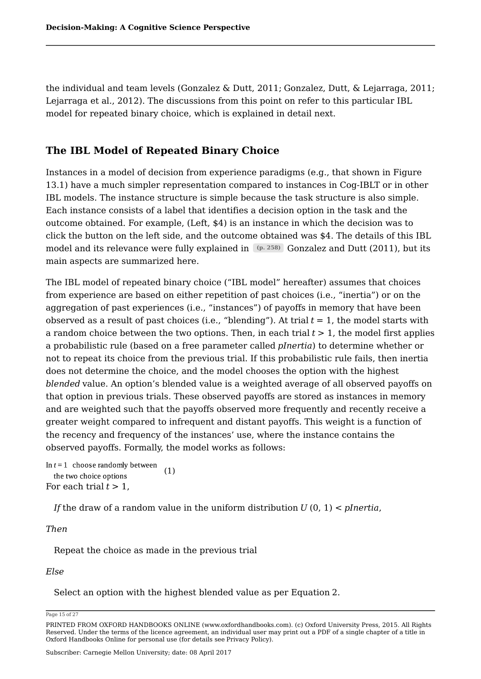the individual and team levels (Gonzalez & Dutt, 2011; Gonzalez, Dutt, & Lejarraga, 2011; Lejarraga et al., 2012). The discussions from this point on refer to this particular IBL model for repeated binary choice, which is explained in detail next.

### **The IBL Model of Repeated Binary Choice**

Instances in a model of decision from experience paradigms (e.g., that shown in Figure 13.1) have a much simpler representation compared to instances in Cog-IBLT or in other IBL models. The instance structure is simple because the task structure is also simple. Each instance consists of a label that identifies a decision option in the task and the outcome obtained. For example, (Left, \$4) is an instance in which the decision was to click the button on the left side, and the outcome obtained was \$4. The details of this IBL model and its relevance were fully explained in Goneslie Gonzalez and Dutt (2011), but its main aspects are summarized here.

The IBL model of repeated binary choice ("IBL model" hereafter) assumes that choices from experience are based on either repetition of past choices (i.e., "inertia") or on the aggregation of past experiences (i.e., "instances") of payoffs in memory that have been observed as a result of past choices (i.e., "blending"). At trial *t* = 1, the model starts with a random choice between the two options. Then, in each trial  $t > 1$ , the model first applies a probabilistic rule (based on a free parameter called *pInertia*) to determine whether or not to repeat its choice from the previous trial. If this probabilistic rule fails, then inertia does not determine the choice, and the model chooses the option with the highest *blended* value. An option's blended value is a weighted average of all observed payoffs on that option in previous trials. These observed payoffs are stored as instances in memory and are weighted such that the payoffs observed more frequently and recently receive a greater weight compared to infrequent and distant payoffs. This weight is a function of the recency and frequency of the instances' use, where the instance contains the observed payoffs. Formally, the model works as follows:

In  $t = 1$  choose randomly between (1) the two choice options For each trial  $t > 1$ ,

*If* the draw of a random value in the uniform distribution *U* (0, 1) < *pInertia*,

#### *Then*

Repeat the choice as made in the previous trial

#### *Else*

Select an option with the highest blended value as per Equation 2.

Page 15 of 27

PRINTED FROM OXFORD HANDBOOKS ONLINE (www.oxfordhandbooks.com). (c) Oxford University Press, 2015. All Rights Reserved. Under the terms of the licence agreement, an individual user may print out a PDF of a single chapter of a title in Oxford Handbooks Online for personal use (for details see Privacy Policy).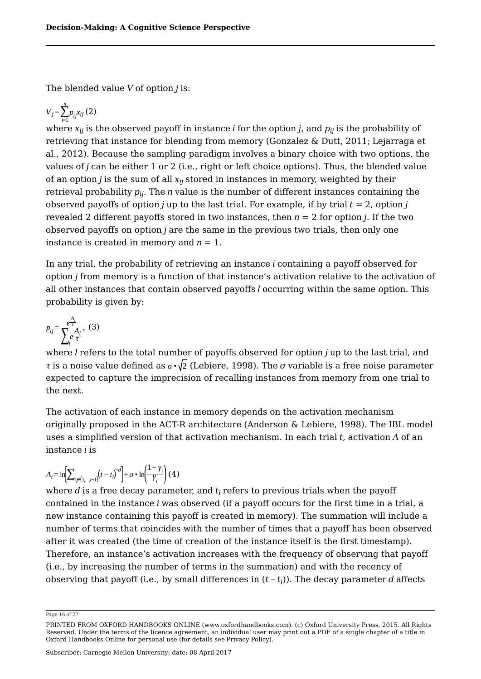The blended value *V* of option *j* is:

$$
V_j = \sum_{i=1}^n p_{ij} x_{ij} (2)
$$

where  $x_{ij}$  is the observed payoff in instance  $i$  for the option  $j$ , and  $p_{ij}$  is the probability of retrieving that instance for blending from memory (Gonzalez & Dutt, 2011; Lejarraga et al., 2012). Because the sampling paradigm involves a binary choice with two options, the values of *j* can be either 1 or 2 (i.e., right or left choice options). Thus, the blended value of an option  $j$  is the sum of all  $x_{ij}$  stored in instances in memory, weighted by their retrieval probability  $p_{ij}$ . The  $n$  value is the number of different instances containing the observed payoffs of option *j* up to the last trial. For example, if by trial  $t = 2$ , option *j* revealed 2 different payoffs stored in two instances, then  $n = 2$  for option *j*. If the two observed payoffs on option *j* are the same in the previous two trials, then only one instance is created in memory and  $n = 1$ .

In any trial, the probability of retrieving an instance *i* containing a payoff observed for option *j* from memory is a function of that instance's activation relative to the activation of all other instances that contain observed payoffs *l* occurring within the same option. This probability is given by:

$$
p_{ij} = \frac{e^{\frac{A_i}{\tau}}}{\sum_{i} e^{\frac{A_i}{\tau}}}, \quad (3)
$$

where *l* refers to the total number of payoffs observed for option *j* up to the last trial, and *τ* is a noise value defined as  $\sigma \cdot \sqrt{2}$  (Lebiere, 1998). The *σ* variable is a free noise parameter expected to capture the imprecision of recalling instances from memory from one trial to the next.

The activation of each instance in memory depends on the activation mechanism originally proposed in the ACT-R architecture (Anderson & Lebiere, 1998). The IBL model uses a simplified version of that activation mechanism. In each trial *t*, activation *A* of an instance *i* is

$$
A_{i} = \ln \left[ \sum_{t_{i} \in \{1, \ldots, t-1\}} (t - t_{i})^{-d} \right] + \sigma \cdot \ln \left( \frac{1 - \gamma_{i}}{\gamma_{i}} \right) (4)
$$

where  $d$  is a free decay parameter, and  $t_i$  refers to previous trials when the payoff contained in the instance *i* was observed (if a payoff occurs for the first time in a trial, a new instance containing this payoff is created in memory). The summation will include a number of terms that coincides with the number of times that a payoff has been observed after it was created (the time of creation of the instance itself is the first timestamp). Therefore, an instance's activation increases with the frequency of observing that payoff (i.e., by increasing the number of terms in the summation) and with the recency of observing that payoff (i.e., by small differences in  $(t-t_i)$ ). The decay parameter  $d$  affects

Page 16 of 27

PRINTED FROM OXFORD HANDBOOKS ONLINE (www.oxfordhandbooks.com). (c) Oxford University Press, 2015. All Rights Reserved. Under the terms of the licence agreement, an individual user may print out a PDF of a single chapter of a title in Oxford Handbooks Online for personal use (for details see Privacy Policy).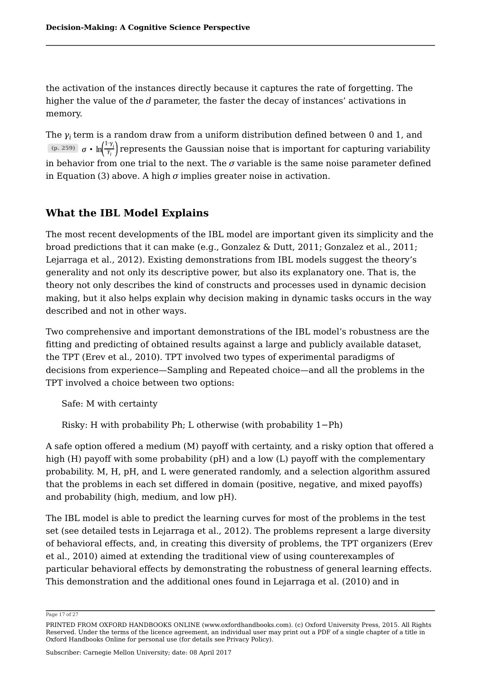the activation of the instances directly because it captures the rate of forgetting. The higher the value of the *d* parameter, the faster the decay of instances' activations in memory.

The  $\gamma_i$  term is a random draw from a uniform distribution defined between 0 and 1, and  $\frac{f(p, 259)}{\sigma}$   $\sigma \cdot \ln\left(\frac{f(r)}{f(r)}\right)$  represents the Gaussian noise that is important for capturing variability in behavior from one trial to the next. The  $\sigma$  variable is the same noise parameter defined in Equation (3) above. A high  $\sigma$  implies greater noise in activation.

### **What the IBL Model Explains**

The most recent developments of the IBL model are important given its simplicity and the broad predictions that it can make (e.g., Gonzalez & Dutt, 2011; Gonzalez et al., 2011; Lejarraga et al., 2012). Existing demonstrations from IBL models suggest the theory's generality and not only its descriptive power, but also its explanatory one. That is, the theory not only describes the kind of constructs and processes used in dynamic decision making, but it also helps explain why decision making in dynamic tasks occurs in the way described and not in other ways.

Two comprehensive and important demonstrations of the IBL model's robustness are the fitting and predicting of obtained results against a large and publicly available dataset, the TPT (Erev et al., 2010). TPT involved two types of experimental paradigms of decisions from experience—Sampling and Repeated choice—and all the problems in the TPT involved a choice between two options:

Safe: M with certainty

Risky: H with probability Ph; L otherwise (with probability 1−Ph)

A safe option offered a medium (M) payoff with certainty, and a risky option that offered a high (H) payoff with some probability (pH) and a low (L) payoff with the complementary probability. M, H, pH, and L were generated randomly, and a selection algorithm assured that the problems in each set differed in domain (positive, negative, and mixed payoffs) and probability (high, medium, and low pH).

The IBL model is able to predict the learning curves for most of the problems in the test set (see detailed tests in Lejarraga et al., 2012). The problems represent a large diversity of behavioral effects, and, in creating this diversity of problems, the TPT organizers (Erev et al., 2010) aimed at extending the traditional view of using counterexamples of particular behavioral effects by demonstrating the robustness of general learning effects. This demonstration and the additional ones found in Lejarraga et al. (2010) and in

Page 17 of 27

PRINTED FROM OXFORD HANDBOOKS ONLINE (www.oxfordhandbooks.com). (c) Oxford University Press, 2015. All Rights Reserved. Under the terms of the licence agreement, an individual user may print out a PDF of a single chapter of a title in Oxford Handbooks Online for personal use (for details see Privacy Policy).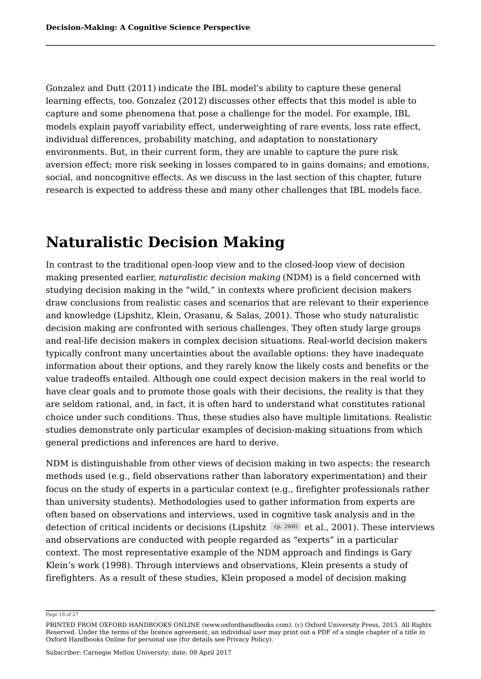Gonzalez and Dutt (2011) indicate the IBL model's ability to capture these general learning effects, too. Gonzalez (2012) discusses other effects that this model is able to capture and some phenomena that pose a challenge for the model. For example, IBL models explain payoff variability effect, underweighting of rare events, loss rate effect, individual differences, probability matching, and adaptation to nonstationary environments. But, in their current form, they are unable to capture the pure risk aversion effect; more risk seeking in losses compared to in gains domains; and emotions, social, and noncognitive effects. As we discuss in the last section of this chapter, future research is expected to address these and many other challenges that IBL models face.

### **Naturalistic Decision Making**

In contrast to the traditional open-loop view and to the closed-loop view of decision making presented earlier, *naturalistic decision making* (NDM) is a field concerned with studying decision making in the "wild," in contexts where proficient decision makers draw conclusions from realistic cases and scenarios that are relevant to their experience and knowledge (Lipshitz, Klein, Orasanu, & Salas, 2001). Those who study naturalistic decision making are confronted with serious challenges. They often study large groups and real-life decision makers in complex decision situations. Real-world decision makers typically confront many uncertainties about the available options: they have inadequate information about their options, and they rarely know the likely costs and benefits or the value tradeoffs entailed. Although one could expect decision makers in the real world to have clear goals and to promote those goals with their decisions, the reality is that they are seldom rational, and, in fact, it is often hard to understand what constitutes rational choice under such conditions. Thus, these studies also have multiple limitations. Realistic studies demonstrate only particular examples of decision-making situations from which general predictions and inferences are hard to derive.

NDM is distinguishable from other views of decision making in two aspects: the research methods used (e.g., field observations rather than laboratory experimentation) and their focus on the study of experts in a particular context (e.g., firefighter professionals rather than university students). Methodologies used to gather information from experts are often based on observations and interviews, used in cognitive task analysis and in the detection of critical incidents or decisions (Lipshitz  $\left( \Phi , 260 \right)$  et al., 2001). These interviews and observations are conducted with people regarded as "experts" in a particular context. The most representative example of the NDM approach and findings is Gary Klein's work (1998). Through interviews and observations, Klein presents a study of firefighters. As a result of these studies, Klein proposed a model of decision making

Page 18 of 27

PRINTED FROM OXFORD HANDBOOKS ONLINE (www.oxfordhandbooks.com). (c) Oxford University Press, 2015. All Rights Reserved. Under the terms of the licence agreement, an individual user may print out a PDF of a single chapter of a title in Oxford Handbooks Online for personal use (for details see Privacy Policy).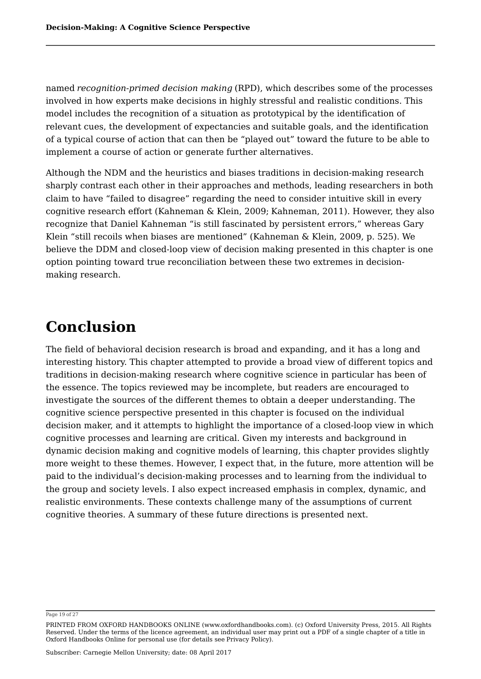named *recognition-primed decision making* (RPD), which describes some of the processes involved in how experts make decisions in highly stressful and realistic conditions. This model includes the recognition of a situation as prototypical by the identification of relevant cues, the development of expectancies and suitable goals, and the identification of a typical course of action that can then be "played out" toward the future to be able to implement a course of action or generate further alternatives.

Although the NDM and the heuristics and biases traditions in decision-making research sharply contrast each other in their approaches and methods, leading researchers in both claim to have "failed to disagree" regarding the need to consider intuitive skill in every cognitive research effort (Kahneman & Klein, 2009; Kahneman, 2011). However, they also recognize that Daniel Kahneman "is still fascinated by persistent errors," whereas Gary Klein "still recoils when biases are mentioned" (Kahneman & Klein, 2009, p. 525). We believe the DDM and closed-loop view of decision making presented in this chapter is one option pointing toward true reconciliation between these two extremes in decisionmaking research.

## **Conclusion**

The field of behavioral decision research is broad and expanding, and it has a long and interesting history. This chapter attempted to provide a broad view of different topics and traditions in decision-making research where cognitive science in particular has been of the essence. The topics reviewed may be incomplete, but readers are encouraged to investigate the sources of the different themes to obtain a deeper understanding. The cognitive science perspective presented in this chapter is focused on the individual decision maker, and it attempts to highlight the importance of a closed-loop view in which cognitive processes and learning are critical. Given my interests and background in dynamic decision making and cognitive models of learning, this chapter provides slightly more weight to these themes. However, I expect that, in the future, more attention will be paid to the individual's decision-making processes and to learning from the individual to the group and society levels. I also expect increased emphasis in complex, dynamic, and realistic environments. These contexts challenge many of the assumptions of current cognitive theories. A summary of these future directions is presented next.

Page 19 of 27

PRINTED FROM OXFORD HANDBOOKS ONLINE (www.oxfordhandbooks.com). (c) Oxford University Press, 2015. All Rights Reserved. Under the terms of the licence agreement, an individual user may print out a PDF of a single chapter of a title in Oxford Handbooks Online for personal use (for details see Privacy Policy).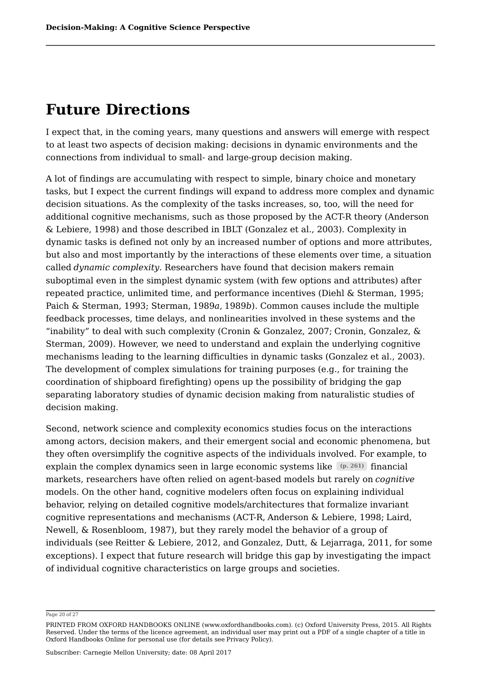### **Future Directions**

I expect that, in the coming years, many questions and answers will emerge with respect to at least two aspects of decision making: decisions in dynamic environments and the connections from individual to small- and large-group decision making.

A lot of findings are accumulating with respect to simple, binary choice and monetary tasks, but I expect the current findings will expand to address more complex and dynamic decision situations. As the complexity of the tasks increases, so, too, will the need for additional cognitive mechanisms, such as those proposed by the ACT-R theory (Anderson & Lebiere, 1998) and those described in IBLT (Gonzalez et al., 2003). Complexity in dynamic tasks is defined not only by an increased number of options and more attributes, but also and most importantly by the interactions of these elements over time, a situation called *dynamic complexity*. Researchers have found that decision makers remain suboptimal even in the simplest dynamic system (with few options and attributes) after repeated practice, unlimited time, and performance incentives (Diehl & Sterman, 1995; Paich & Sterman, 1993; Sterman, 1989*a*, 1989*b*). Common causes include the multiple feedback processes, time delays, and nonlinearities involved in these systems and the "inability" to deal with such complexity (Cronin & Gonzalez, 2007; Cronin, Gonzalez, & Sterman, 2009). However, we need to understand and explain the underlying cognitive mechanisms leading to the learning difficulties in dynamic tasks (Gonzalez et al., 2003). The development of complex simulations for training purposes (e.g., for training the coordination of shipboard firefighting) opens up the possibility of bridging the gap separating laboratory studies of dynamic decision making from naturalistic studies of decision making.

Second, network science and complexity economics studies focus on the interactions among actors, decision makers, and their emergent social and economic phenomena, but they often oversimplify the cognitive aspects of the individuals involved. For example, to explain the complex dynamics seen in large economic systems like <sup>(p. 261)</sup> financial markets, researchers have often relied on agent-based models but rarely on *cognitive* models. On the other hand, cognitive modelers often focus on explaining individual behavior, relying on detailed cognitive models/architectures that formalize invariant cognitive representations and mechanisms (ACT-R, Anderson & Lebiere, 1998; Laird, Newell, & Rosenbloom, 1987), but they rarely model the behavior of a group of individuals (see Reitter & Lebiere, 2012, and Gonzalez, Dutt, & Lejarraga, 2011, for some exceptions). I expect that future research will bridge this gap by investigating the impact of individual cognitive characteristics on large groups and societies.

Page 20 of 27

PRINTED FROM OXFORD HANDBOOKS ONLINE (www.oxfordhandbooks.com). (c) Oxford University Press, 2015. All Rights Reserved. Under the terms of the licence agreement, an individual user may print out a PDF of a single chapter of a title in Oxford Handbooks Online for personal use (for details see Privacy Policy).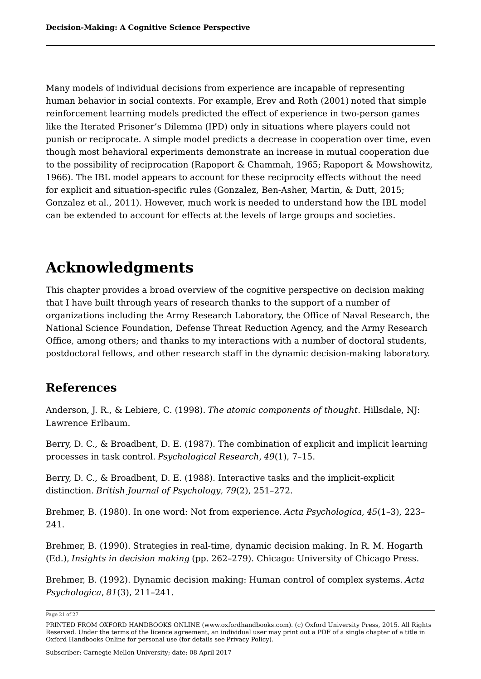Many models of individual decisions from experience are incapable of representing human behavior in social contexts. For example, Erev and Roth (2001) noted that simple reinforcement learning models predicted the effect of experience in two-person games like the Iterated Prisoner's Dilemma (IPD) only in situations where players could not punish or reciprocate. A simple model predicts a decrease in cooperation over time, even though most behavioral experiments demonstrate an increase in mutual cooperation due to the possibility of reciprocation (Rapoport & Chammah, 1965; Rapoport & Mowshowitz, 1966). The IBL model appears to account for these reciprocity effects without the need for explicit and situation-specific rules (Gonzalez, Ben-Asher, Martin, & Dutt, 2015; Gonzalez et al., 2011). However, much work is needed to understand how the IBL model can be extended to account for effects at the levels of large groups and societies.

# **Acknowledgments**

This chapter provides a broad overview of the cognitive perspective on decision making that I have built through years of research thanks to the support of a number of organizations including the Army Research Laboratory, the Office of Naval Research, the National Science Foundation, Defense Threat Reduction Agency, and the Army Research Office, among others; and thanks to my interactions with a number of doctoral students, postdoctoral fellows, and other research staff in the dynamic decision-making laboratory.

### **References**

Anderson, J. R., & Lebiere, C. (1998). *The atomic components of thought*. Hillsdale, NJ: Lawrence Erlbaum.

Berry, D. C., & Broadbent, D. E. (1987). The combination of explicit and implicit learning processes in task control. *Psychological Research*, *49*(1), 7–15.

Berry, D. C., & Broadbent, D. E. (1988). Interactive tasks and the implicit-explicit distinction. *British Journal of Psychology*, *79*(2), 251–272.

Brehmer, B. (1980). In one word: Not from experience. *Acta Psychologica*, *45*(1–3), 223– 241.

Brehmer, B. (1990). Strategies in real-time, dynamic decision making. In R. M. Hogarth (Ed.), *Insights in decision making* (pp. 262–279). Chicago: University of Chicago Press.

Brehmer, B. (1992). Dynamic decision making: Human control of complex systems. *Acta Psychologica*, *81*(3), 211–241.

Page 21 of 27

PRINTED FROM OXFORD HANDBOOKS ONLINE (www.oxfordhandbooks.com). (c) Oxford University Press, 2015. All Rights Reserved. Under the terms of the licence agreement, an individual user may print out a PDF of a single chapter of a title in Oxford Handbooks Online for personal use (for details see Privacy Policy).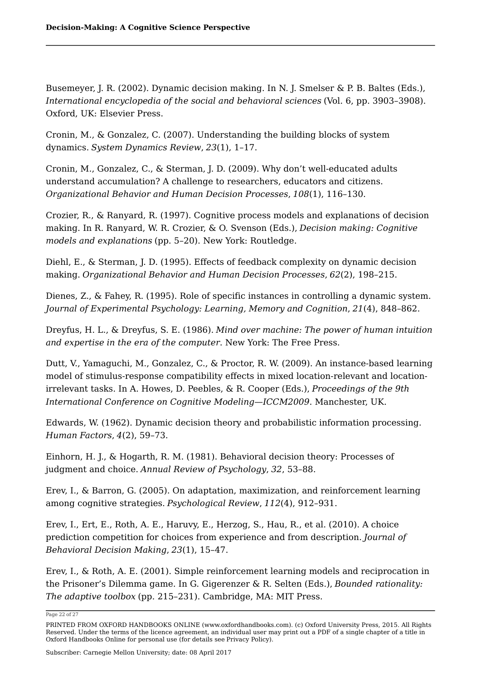Busemeyer, J. R. (2002). Dynamic decision making. In N. J. Smelser & P. B. Baltes (Eds.), *International encyclopedia of the social and behavioral sciences* (Vol. 6, pp. 3903–3908). Oxford, UK: Elsevier Press.

Cronin, M., & Gonzalez, C. (2007). Understanding the building blocks of system dynamics. *System Dynamics Review*, *23*(1), 1–17.

Cronin, M., Gonzalez, C., & Sterman, J. D. (2009). Why don't well-educated adults understand accumulation? A challenge to researchers, educators and citizens. *Organizational Behavior and Human Decision Processes*, *108*(1), 116–130.

Crozier, R., & Ranyard, R. (1997). Cognitive process models and explanations of decision making. In R. Ranyard, W. R. Crozier, & O. Svenson (Eds.), *Decision making: Cognitive models and explanations* (pp. 5–20). New York: Routledge.

Diehl, E., & Sterman, J. D. (1995). Effects of feedback complexity on dynamic decision making. *Organizational Behavior and Human Decision Processes*, *62*(2), 198–215.

Dienes, Z., & Fahey, R. (1995). Role of specific instances in controlling a dynamic system. *Journal of Experimental Psychology: Learning, Memory and Cognition*, *21*(4), 848–862.

Dreyfus, H. L., & Dreyfus, S. E. (1986). *Mind over machine: The power of human intuition and expertise in the era of the computer*. New York: The Free Press.

Dutt, V., Yamaguchi, M., Gonzalez, C., & Proctor, R. W. (2009). An instance-based learning model of stimulus-response compatibility effects in mixed location-relevant and locationirrelevant tasks. In A. Howes, D. Peebles, & R. Cooper (Eds.), *Proceedings of the 9th International Conference on Cognitive Modeling—ICCM2009*. Manchester, UK.

Edwards, W. (1962). Dynamic decision theory and probabilistic information processing. *Human Factors*, *4*(2), 59–73.

Einhorn, H. J., & Hogarth, R. M. (1981). Behavioral decision theory: Processes of judgment and choice. *Annual Review of Psychology*, *32*, 53–88.

Erev, I., & Barron, G. (2005). On adaptation, maximization, and reinforcement learning among cognitive strategies. *Psychological Review*, *112*(4), 912–931.

Erev, I., Ert, E., Roth, A. E., Haruvy, E., Herzog, S., Hau, R., et al. (2010). A choice prediction competition for choices from experience and from description. *Journal of Behavioral Decision Making*, *23*(1), 15–47.

Erev, I., & Roth, A. E. (2001). Simple reinforcement learning models and reciprocation in the Prisoner's Dilemma game. In G. Gigerenzer & R. Selten (Eds.), *Bounded rationality: The adaptive toolbox* (pp. 215–231). Cambridge, MA: MIT Press.

Page 22 of 27

PRINTED FROM OXFORD HANDBOOKS ONLINE (www.oxfordhandbooks.com). (c) Oxford University Press, 2015. All Rights Reserved. Under the terms of the licence agreement, an individual user may print out a PDF of a single chapter of a title in Oxford Handbooks Online for personal use (for details see Privacy Policy).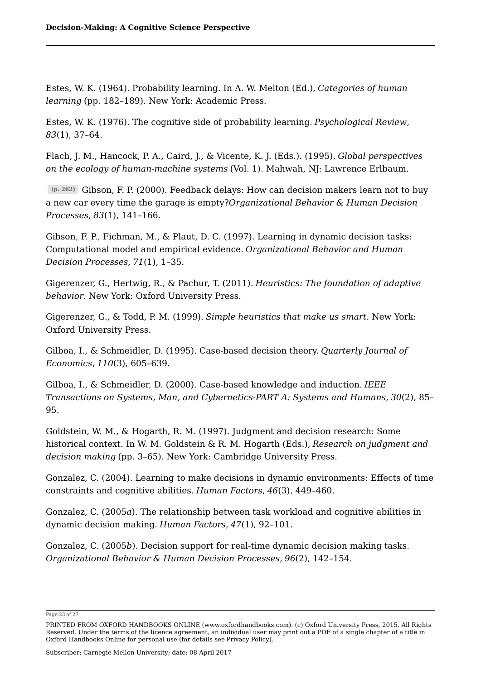Estes, W. K. (1964). Probability learning. In A. W. Melton (Ed.), *Categories of human learning* (pp. 182–189). New York: Academic Press.

Estes, W. K. (1976). The cognitive side of probability learning. *Psychological Review*, *83*(1), 37–64.

Flach, J. M., Hancock, P. A., Caird, J., & Vicente, K. J. (Eds.). (1995). *Global perspectives on the ecology of human-machine systems* (Vol. 1). Mahwah, NJ: Lawrence Erlbaum.

Gibson, F. P. (2000). Feedback delays: How can decision makers learn not to buy **(p. 262)** a new car every time the garage is empty?*Organizational Behavior & Human Decision Processes*, *83*(1), 141–166.

Gibson, F. P., Fichman, M., & Plaut, D. C. (1997). Learning in dynamic decision tasks: Computational model and empirical evidence. *Organizational Behavior and Human Decision Processes*, *71*(1), 1–35.

Gigerenzer, G., Hertwig, R., & Pachur, T. (2011). *Heuristics: The foundation of adaptive behavior*. New York: Oxford University Press.

Gigerenzer, G., & Todd, P. M. (1999). *Simple heuristics that make us smart*. New York: Oxford University Press.

Gilboa, I., & Schmeidler, D. (1995). Case-based decision theory. *Quarterly Journal of Economics*, *110*(3), 605–639.

Gilboa, I., & Schmeidler, D. (2000). Case-based knowledge and induction. *IEEE Transactions on Systems, Man, and Cybernetics-PART A: Systems and Humans*, *30*(2), 85– 95.

Goldstein, W. M., & Hogarth, R. M. (1997). Judgment and decision research: Some historical context. In W. M. Goldstein & R. M. Hogarth (Eds.), *Research on judgment and decision making* (pp. 3–65). New York: Cambridge University Press.

Gonzalez, C. (2004). Learning to make decisions in dynamic environments: Effects of time constraints and cognitive abilities. *Human Factors*, *46*(3), 449–460.

Gonzalez, C. (2005*a*). The relationship between task workload and cognitive abilities in dynamic decision making. *Human Factors*, *47*(1), 92–101.

Gonzalez, C. (2005*b*). Decision support for real-time dynamic decision making tasks. *Organizational Behavior & Human Decision Processes*, *96*(2), 142–154.

Page 23 of 27

PRINTED FROM OXFORD HANDBOOKS ONLINE (www.oxfordhandbooks.com). (c) Oxford University Press, 2015. All Rights Reserved. Under the terms of the licence agreement, an individual user may print out a PDF of a single chapter of a title in Oxford Handbooks Online for personal use (for details see Privacy Policy).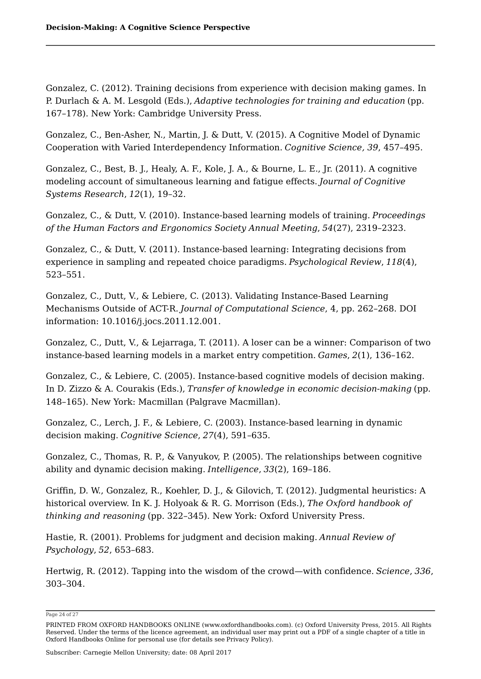Gonzalez, C. (2012). Training decisions from experience with decision making games. In P. Durlach & A. M. Lesgold (Eds.), *Adaptive technologies for training and education* (pp. 167–178). New York: Cambridge University Press.

Gonzalez, C., Ben-Asher, N., Martin, J. & Dutt, V. (2015). A Cognitive Model of Dynamic Cooperation with Varied Interdependency Information. *Cognitive Science, 39*, 457–495.

Gonzalez, C., Best, B. J., Healy, A. F., Kole, J. A., & Bourne, L. E., Jr. (2011). A cognitive modeling account of simultaneous learning and fatigue effects. *Journal of Cognitive Systems Research*, *12*(1), 19–32.

Gonzalez, C., & Dutt, V. (2010). Instance-based learning models of training. *Proceedings of the Human Factors and Ergonomics Society Annual Meeting*, *54*(27), 2319–2323.

Gonzalez, C., & Dutt, V. (2011). Instance-based learning: Integrating decisions from experience in sampling and repeated choice paradigms. *Psychological Review*, *118*(4), 523–551.

Gonzalez, C., Dutt, V., & Lebiere, C. (2013). Validating Instance-Based Learning Mechanisms Outside of ACT-R. *Journal of Computational Science*, 4, pp. 262–268. DOI information: 10.1016/j.jocs.2011.12.001.

Gonzalez, C., Dutt, V., & Lejarraga, T. (2011). A loser can be a winner: Comparison of two instance-based learning models in a market entry competition. *Games*, *2*(1), 136–162.

Gonzalez, C., & Lebiere, C. (2005). Instance-based cognitive models of decision making. In D. Zizzo & A. Courakis (Eds.), *Transfer of knowledge in economic decision-making* (pp. 148–165). New York: Macmillan (Palgrave Macmillan).

Gonzalez, C., Lerch, J. F., & Lebiere, C. (2003). Instance-based learning in dynamic decision making. *Cognitive Science*, *27*(4), 591–635.

Gonzalez, C., Thomas, R. P., & Vanyukov, P. (2005). The relationships between cognitive ability and dynamic decision making. *Intelligence*, *33*(2), 169–186.

Griffin, D. W., Gonzalez, R., Koehler, D. J., & Gilovich, T. (2012). Judgmental heuristics: A historical overview. In K. J. Holyoak & R. G. Morrison (Eds.), *The Oxford handbook of thinking and reasoning* (pp. 322–345). New York: Oxford University Press.

Hastie, R. (2001). Problems for judgment and decision making. *Annual Review of Psychology*, *52*, 653–683.

Hertwig, R. (2012). Tapping into the wisdom of the crowd—with confidence. *Science*, *336*, 303–304.

Page 24 of 27

PRINTED FROM OXFORD HANDBOOKS ONLINE (www.oxfordhandbooks.com). (c) Oxford University Press, 2015. All Rights Reserved. Under the terms of the licence agreement, an individual user may print out a PDF of a single chapter of a title in Oxford Handbooks Online for personal use (for details see Privacy Policy).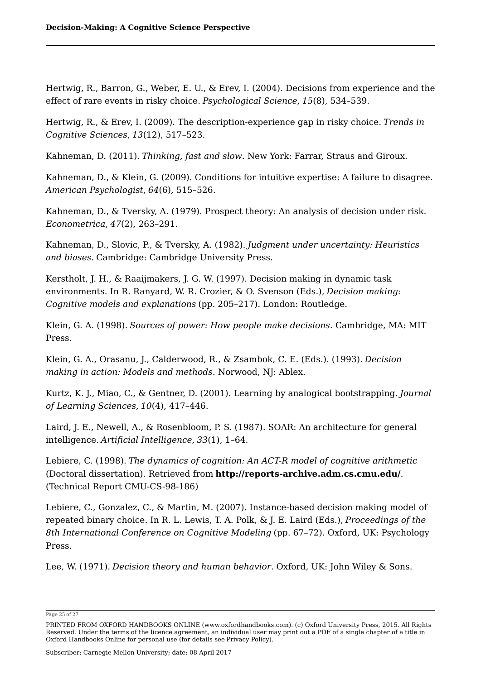Hertwig, R., Barron, G., Weber, E. U., & Erev, I. (2004). Decisions from experience and the effect of rare events in risky choice. *Psychological Science*, *15*(8), 534–539.

Hertwig, R., & Erev, I. (2009). The description-experience gap in risky choice. *Trends in Cognitive Sciences*, *13*(12), 517–523.

Kahneman, D. (2011). *Thinking, fast and slow*. New York: Farrar, Straus and Giroux.

Kahneman, D., & Klein, G. (2009). Conditions for intuitive expertise: A failure to disagree. *American Psychologist*, *64*(6), 515–526.

Kahneman, D., & Tversky, A. (1979). Prospect theory: An analysis of decision under risk. *Econometrica*, *47*(2), 263–291.

Kahneman, D., Slovic, P., & Tversky, A. (1982). *Judgment under uncertainty: Heuristics and biases.* Cambridge: Cambridge University Press.

Kerstholt, J. H., & Raaijmakers, J. G. W. (1997). Decision making in dynamic task environments. In R. Ranyard, W. R. Crozier, & O. Svenson (Eds.), *Decision making: Cognitive models and explanations* (pp. 205–217). London: Routledge.

Klein, G. A. (1998). *Sources of power: How people make decisions*. Cambridge, MA: MIT Press.

Klein, G. A., Orasanu, J., Calderwood, R., & Zsambok, C. E. (Eds.). (1993). *Decision making in action: Models and methods*. Norwood, NJ: Ablex.

Kurtz, K. J., Miao, C., & Gentner, D. (2001). Learning by analogical bootstrapping. *Journal of Learning Sciences*, *10*(4), 417–446.

Laird, J. E., Newell, A., & Rosenbloom, P. S. (1987). SOAR: An architecture for general intelligence. *Artificial Intelligence*, *33*(1), 1–64.

Lebiere, C. (1998). *The dynamics of cognition: An ACT-R model of cognitive arithmetic* (Doctoral dissertation). Retrieved from **http://reports-archive.adm.cs.cmu.edu/**. (Technical Report CMU-CS-98-186)

Lebiere, C., Gonzalez, C., & Martin, M. (2007). Instance-based decision making model of repeated binary choice. In R. L. Lewis, T. A. Polk, & J. E. Laird (Eds.), *Proceedings of the 8th International Conference on Cognitive Modeling* (pp. 67–72). Oxford, UK: Psychology Press.

Lee, W. (1971). *Decision theory and human behavior*. Oxford, UK: John Wiley & Sons.

Page 25 of 27

PRINTED FROM OXFORD HANDBOOKS ONLINE (www.oxfordhandbooks.com). (c) Oxford University Press, 2015. All Rights Reserved. Under the terms of the licence agreement, an individual user may print out a PDF of a single chapter of a title in Oxford Handbooks Online for personal use (for details see Privacy Policy).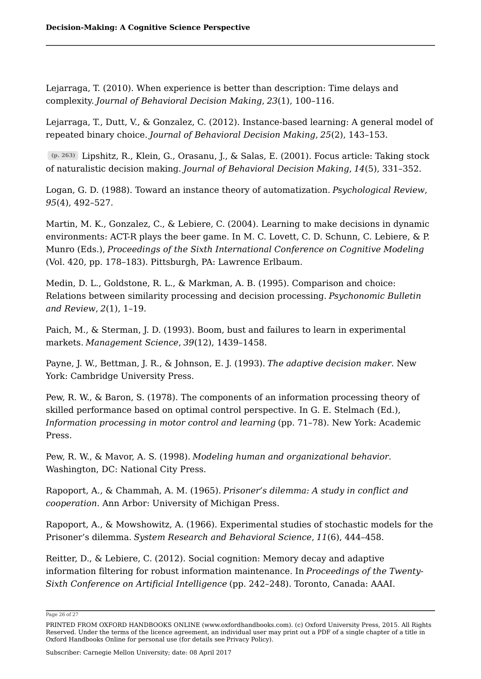Lejarraga, T. (2010). When experience is better than description: Time delays and complexity. *Journal of Behavioral Decision Making*, *23*(1), 100–116.

Lejarraga, T., Dutt, V., & Gonzalez, C. (2012). Instance-based learning: A general model of repeated binary choice. *Journal of Behavioral Decision Making*, *25*(2), 143–153.

Lipshitz, R., Klein, G., Orasanu, J., & Salas, E. (2001). Focus article: Taking stock **(p. 263)** of naturalistic decision making. *Journal of Behavioral Decision Making*, *14*(5), 331–352.

Logan, G. D. (1988). Toward an instance theory of automatization. *Psychological Review*, *95*(4), 492–527.

Martin, M. K., Gonzalez, C., & Lebiere, C. (2004). Learning to make decisions in dynamic environments: ACT-R plays the beer game. In M. C. Lovett, C. D. Schunn, C. Lebiere, & P. Munro (Eds.), *Proceedings of the Sixth International Conference on Cognitive Modeling* (Vol. 420, pp. 178–183). Pittsburgh, PA: Lawrence Erlbaum.

Medin, D. L., Goldstone, R. L., & Markman, A. B. (1995). Comparison and choice: Relations between similarity processing and decision processing. *Psychonomic Bulletin and Review*, *2*(1), 1–19.

Paich, M., & Sterman, J. D. (1993). Boom, bust and failures to learn in experimental markets. *Management Science*, *39*(12), 1439–1458.

Payne, J. W., Bettman, J. R., & Johnson, E. J. (1993). *The adaptive decision maker*. New York: Cambridge University Press.

Pew, R. W., & Baron, S. (1978). The components of an information processing theory of skilled performance based on optimal control perspective. In G. E. Stelmach (Ed.), *Information processing in motor control and learning* (pp. 71–78). New York: Academic Press.

Pew, R. W., & Mavor, A. S. (1998). *Modeling human and organizational behavior*. Washington, DC: National City Press.

Rapoport, A., & Chammah, A. M. (1965). *Prisoner's dilemma: A study in conflict and cooperation*. Ann Arbor: University of Michigan Press.

Rapoport, A., & Mowshowitz, A. (1966). Experimental studies of stochastic models for the Prisoner's dilemma. *System Research and Behavioral Science*, *11*(6), 444–458.

Reitter, D., & Lebiere, C. (2012). Social cognition: Memory decay and adaptive information filtering for robust information maintenance. In *Proceedings of the Twenty-Sixth Conference on Artificial Intelligence* (pp. 242–248). Toronto, Canada: AAAI.

Page 26 of 27

PRINTED FROM OXFORD HANDBOOKS ONLINE (www.oxfordhandbooks.com). (c) Oxford University Press, 2015. All Rights Reserved. Under the terms of the licence agreement, an individual user may print out a PDF of a single chapter of a title in Oxford Handbooks Online for personal use (for details see Privacy Policy).